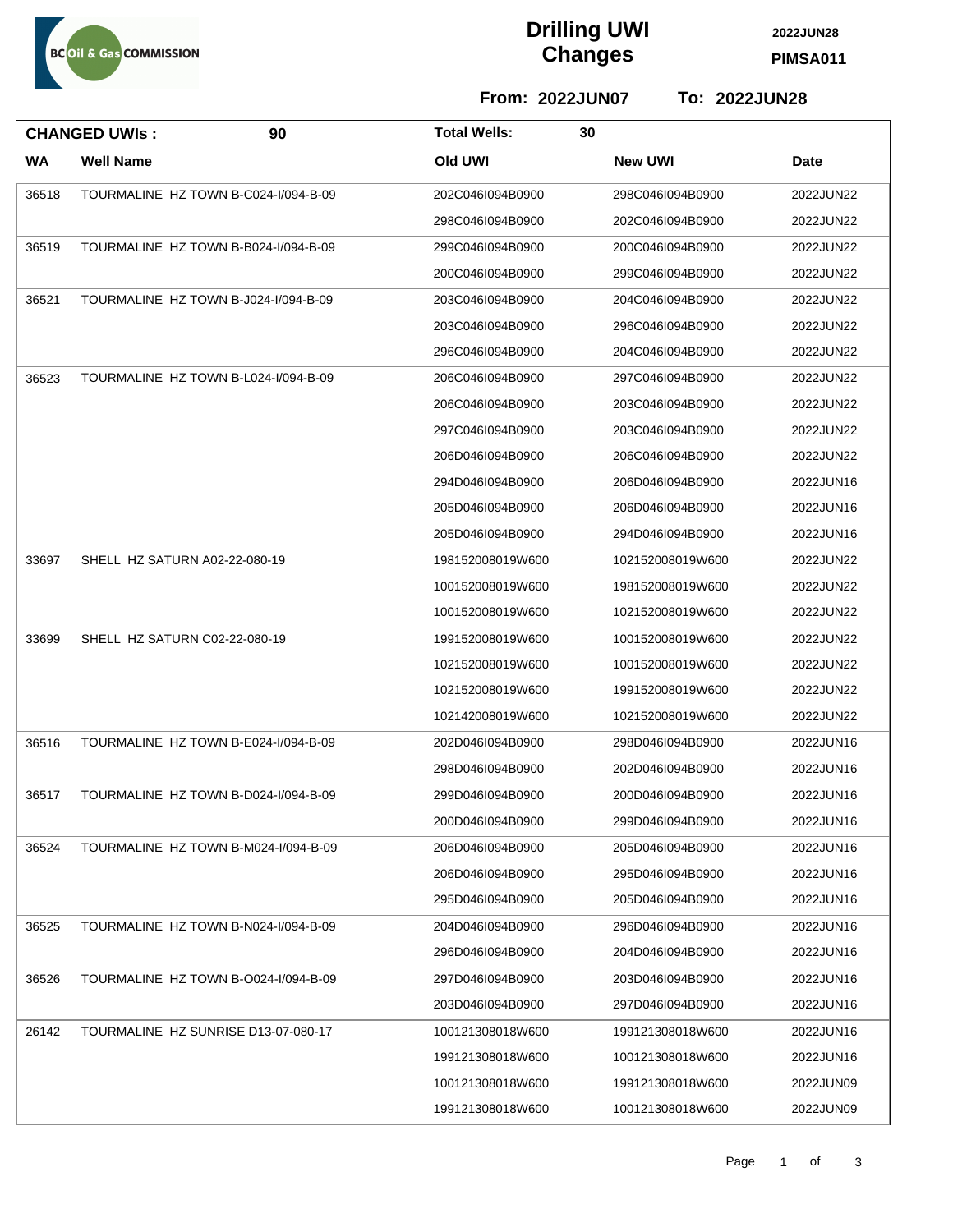

## **Drilling UWI Changes PIMSA011**

**2022JUN28**

**From: 2022JUN07 To: 2022JUN28**

| <b>CHANGED UWIS:</b> |                  | 90                                   | <b>Total Wells:</b> | 30 |                  |           |
|----------------------|------------------|--------------------------------------|---------------------|----|------------------|-----------|
| <b>WA</b>            | <b>Well Name</b> |                                      | <b>Old UWI</b>      |    | <b>New UWI</b>   | Date      |
| 36518                |                  | TOURMALINE HZ TOWN B-C024-I/094-B-09 | 202C046I094B0900    |    | 298C046I094B0900 | 2022JUN22 |
|                      |                  |                                      | 298C046I094B0900    |    | 202C046I094B0900 | 2022JUN22 |
| 36519                |                  | TOURMALINE HZ TOWN B-B024-I/094-B-09 | 299C046I094B0900    |    | 200C046I094B0900 | 2022JUN22 |
|                      |                  |                                      | 200C046I094B0900    |    | 299C046I094B0900 | 2022JUN22 |
| 36521                |                  | TOURMALINE HZ TOWN B-J024-I/094-B-09 | 203C046I094B0900    |    | 204C046l094B0900 | 2022JUN22 |
|                      |                  |                                      | 203C046I094B0900    |    | 296C046I094B0900 | 2022JUN22 |
|                      |                  |                                      | 296C046I094B0900    |    | 204C046l094B0900 | 2022JUN22 |
| 36523                |                  | TOURMALINE HZ TOWN B-L024-I/094-B-09 | 206C046I094B0900    |    | 297C046I094B0900 | 2022JUN22 |
|                      |                  |                                      | 206C046I094B0900    |    | 203C046I094B0900 | 2022JUN22 |
|                      |                  |                                      | 297C046I094B0900    |    | 203C046I094B0900 | 2022JUN22 |
|                      |                  |                                      | 206D046I094B0900    |    | 206C046I094B0900 | 2022JUN22 |
|                      |                  |                                      | 294D046I094B0900    |    | 206D046I094B0900 | 2022JUN16 |
|                      |                  |                                      | 205D046I094B0900    |    | 206D046I094B0900 | 2022JUN16 |
|                      |                  |                                      | 205D046I094B0900    |    | 294D046I094B0900 | 2022JUN16 |
| 33697                |                  | SHELL HZ SATURN A02-22-080-19        | 198152008019W600    |    | 102152008019W600 | 2022JUN22 |
|                      |                  |                                      | 100152008019W600    |    | 198152008019W600 | 2022JUN22 |
|                      |                  |                                      | 100152008019W600    |    | 102152008019W600 | 2022JUN22 |
| 33699                |                  | SHELL HZ SATURN C02-22-080-19        | 199152008019W600    |    | 100152008019W600 | 2022JUN22 |
|                      |                  |                                      | 102152008019W600    |    | 100152008019W600 | 2022JUN22 |
|                      |                  |                                      | 102152008019W600    |    | 199152008019W600 | 2022JUN22 |
|                      |                  |                                      | 102142008019W600    |    | 102152008019W600 | 2022JUN22 |
| 36516                |                  | TOURMALINE HZ TOWN B-E024-I/094-B-09 | 202D046I094B0900    |    | 298D046I094B0900 | 2022JUN16 |
|                      |                  |                                      | 298D046I094B0900    |    | 202D046I094B0900 | 2022JUN16 |
| 36517                |                  | TOURMALINE HZ TOWN B-D024-I/094-B-09 | 299D046I094B0900    |    | 200D046I094B0900 | 2022JUN16 |
|                      |                  |                                      | 200D046I094B0900    |    | 299D046I094B0900 | 2022JUN16 |
| 36524                |                  | TOURMALINE HZ TOWN B-M024-I/094-B-09 | 206D046I094B0900    |    | 205D046I094B0900 | 2022JUN16 |
|                      |                  |                                      | 206D046I094B0900    |    | 295D046I094B0900 | 2022JUN16 |
|                      |                  |                                      | 295D046I094B0900    |    | 205D046I094B0900 | 2022JUN16 |
| 36525                |                  | TOURMALINE HZ TOWN B-N024-I/094-B-09 | 204D046I094B0900    |    | 296D046I094B0900 | 2022JUN16 |
|                      |                  |                                      | 296D046I094B0900    |    | 204D046I094B0900 | 2022JUN16 |
| 36526                |                  | TOURMALINE HZ TOWN B-O024-I/094-B-09 | 297D046I094B0900    |    | 203D046I094B0900 | 2022JUN16 |
|                      |                  |                                      | 203D046I094B0900    |    | 297D046I094B0900 | 2022JUN16 |
| 26142                |                  | TOURMALINE HZ SUNRISE D13-07-080-17  | 100121308018W600    |    | 199121308018W600 | 2022JUN16 |
|                      |                  |                                      | 199121308018W600    |    | 100121308018W600 | 2022JUN16 |
|                      |                  |                                      | 100121308018W600    |    | 199121308018W600 | 2022JUN09 |
|                      |                  |                                      | 199121308018W600    |    | 100121308018W600 | 2022JUN09 |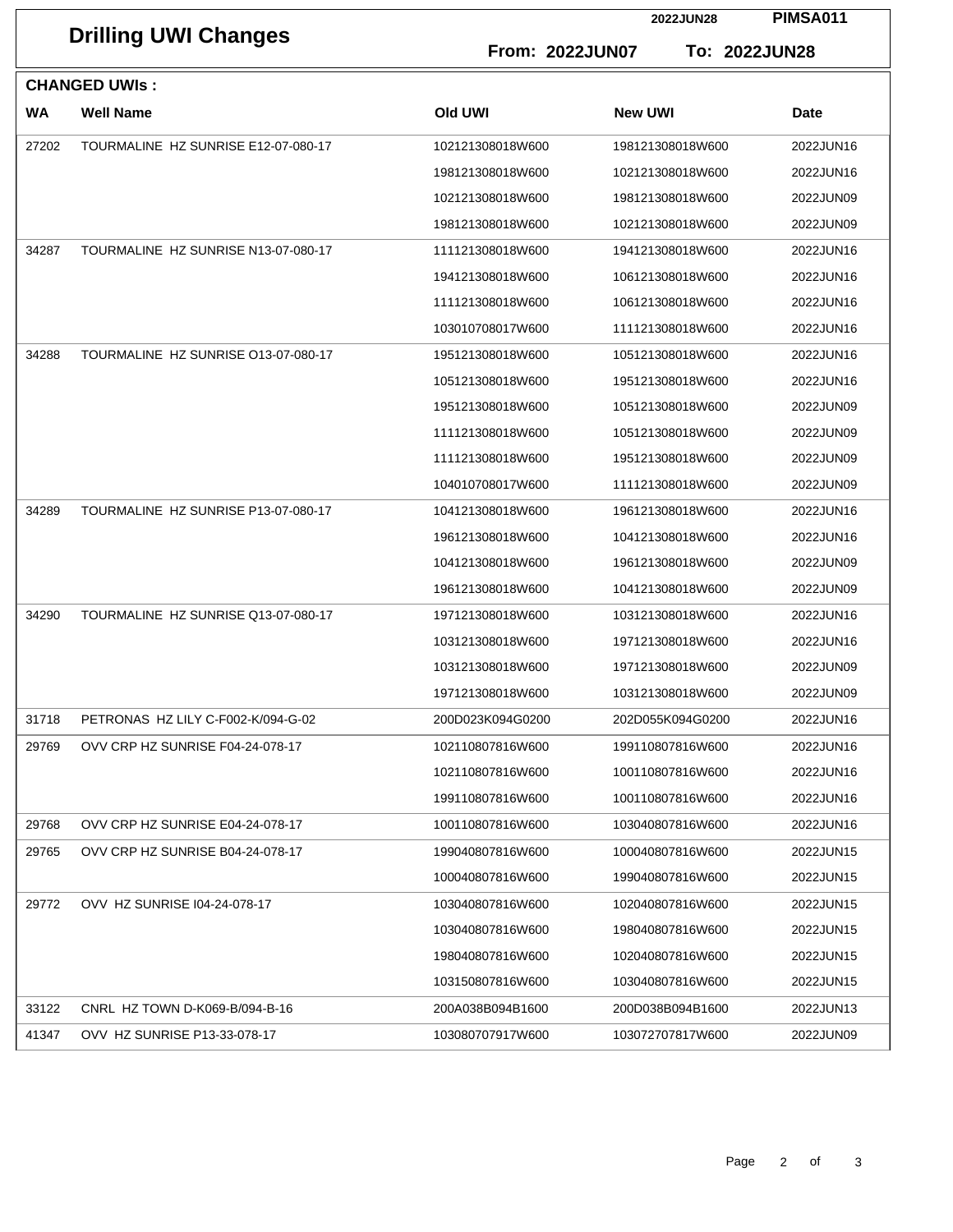| <b>Drilling UWI Changes</b> |                                     |                  | 2022JUN28        | <b>PIMSA011</b> |  |  |  |  |
|-----------------------------|-------------------------------------|------------------|------------------|-----------------|--|--|--|--|
|                             |                                     | From: 2022JUN07  |                  | To: 2022JUN28   |  |  |  |  |
| <b>CHANGED UWIS:</b>        |                                     |                  |                  |                 |  |  |  |  |
| <b>WA</b>                   | <b>Well Name</b>                    | Old UWI          | <b>New UWI</b>   | <b>Date</b>     |  |  |  |  |
| 27202                       | TOURMALINE HZ SUNRISE E12-07-080-17 | 102121308018W600 | 198121308018W600 | 2022JUN16       |  |  |  |  |
|                             |                                     | 198121308018W600 | 102121308018W600 | 2022JUN16       |  |  |  |  |
|                             |                                     | 102121308018W600 | 198121308018W600 | 2022JUN09       |  |  |  |  |
|                             |                                     | 198121308018W600 | 102121308018W600 | 2022JUN09       |  |  |  |  |
| 34287                       | TOURMALINE HZ SUNRISE N13-07-080-17 | 111121308018W600 | 194121308018W600 | 2022JUN16       |  |  |  |  |
|                             |                                     | 194121308018W600 | 106121308018W600 | 2022JUN16       |  |  |  |  |
|                             |                                     | 111121308018W600 | 106121308018W600 | 2022JUN16       |  |  |  |  |
|                             |                                     | 103010708017W600 | 111121308018W600 | 2022JUN16       |  |  |  |  |
| 34288                       | TOURMALINE HZ SUNRISE 013-07-080-17 | 195121308018W600 | 105121308018W600 | 2022JUN16       |  |  |  |  |
|                             |                                     | 105121308018W600 | 195121308018W600 | 2022JUN16       |  |  |  |  |
|                             |                                     | 195121308018W600 | 105121308018W600 | 2022JUN09       |  |  |  |  |
|                             |                                     | 111121308018W600 | 105121308018W600 | 2022JUN09       |  |  |  |  |
|                             |                                     | 111121308018W600 | 195121308018W600 | 2022JUN09       |  |  |  |  |
|                             |                                     | 104010708017W600 | 111121308018W600 | 2022JUN09       |  |  |  |  |
| 34289                       | TOURMALINE HZ SUNRISE P13-07-080-17 | 104121308018W600 | 196121308018W600 | 2022JUN16       |  |  |  |  |
|                             |                                     | 196121308018W600 | 104121308018W600 | 2022JUN16       |  |  |  |  |
|                             |                                     | 104121308018W600 | 196121308018W600 | 2022JUN09       |  |  |  |  |
|                             |                                     | 196121308018W600 | 104121308018W600 | 2022JUN09       |  |  |  |  |
| 34290                       | TOURMALINE HZ SUNRISE Q13-07-080-17 | 197121308018W600 | 103121308018W600 | 2022JUN16       |  |  |  |  |
|                             |                                     | 103121308018W600 | 197121308018W600 | 2022JUN16       |  |  |  |  |
|                             |                                     | 103121308018W600 | 197121308018W600 | 2022JUN09       |  |  |  |  |
|                             |                                     | 197121308018W600 | 103121308018W600 | 2022JUN09       |  |  |  |  |
| 31718                       | PETRONAS HZ LILY C-F002-K/094-G-02  | 200D023K094G0200 | 202D055K094G0200 | 2022JUN16       |  |  |  |  |
| 29769                       | OVV CRP HZ SUNRISE F04-24-078-17    | 102110807816W600 | 199110807816W600 | 2022JUN16       |  |  |  |  |
|                             |                                     | 102110807816W600 | 100110807816W600 | 2022JUN16       |  |  |  |  |
|                             |                                     | 199110807816W600 | 100110807816W600 | 2022JUN16       |  |  |  |  |
| 29768                       | OVV CRP HZ SUNRISE E04-24-078-17    | 100110807816W600 | 103040807816W600 | 2022JUN16       |  |  |  |  |
| 29765                       | OVV CRP HZ SUNRISE B04-24-078-17    | 199040807816W600 | 100040807816W600 | 2022JUN15       |  |  |  |  |
|                             |                                     | 100040807816W600 | 199040807816W600 | 2022JUN15       |  |  |  |  |
| 29772                       | OVV HZ SUNRISE 104-24-078-17        | 103040807816W600 | 102040807816W600 | 2022JUN15       |  |  |  |  |
|                             |                                     | 103040807816W600 | 198040807816W600 | 2022JUN15       |  |  |  |  |
|                             |                                     | 198040807816W600 | 102040807816W600 | 2022JUN15       |  |  |  |  |
|                             |                                     | 103150807816W600 | 103040807816W600 | 2022JUN15       |  |  |  |  |
| 33122                       | CNRL HZ TOWN D-K069-B/094-B-16      | 200A038B094B1600 | 200D038B094B1600 | 2022JUN13       |  |  |  |  |
| 41347                       | OVV HZ SUNRISE P13-33-078-17        | 103080707917W600 | 103072707817W600 | 2022JUN09       |  |  |  |  |